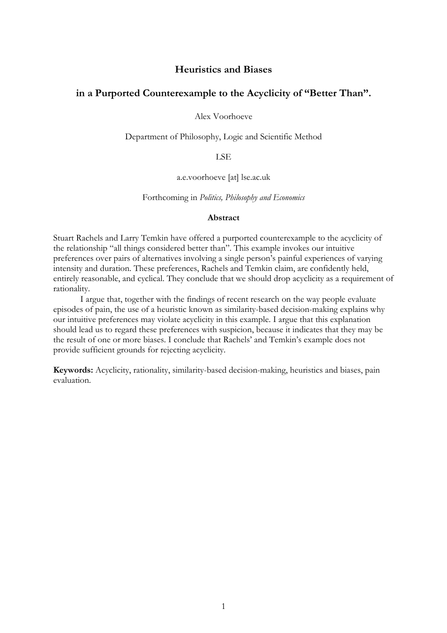# Heuristics and Biases

### in a Purported Counterexample to the Acyclicity of "Better Than".

Alex Voorhoeve

Department of Philosophy, Logic and Scientific Method

**LSE** 

a.e.voorhoeve [at] lse.ac.uk

Forthcoming in Politics, Philosophy and Economics

#### Abstract

Stuart Rachels and Larry Temkin have offered a purported counterexample to the acyclicity of the relationship "all things considered better than". This example invokes our intuitive preferences over pairs of alternatives involving a single person's painful experiences of varying intensity and duration. These preferences, Rachels and Temkin claim, are confidently held, entirely reasonable, and cyclical. They conclude that we should drop acyclicity as a requirement of rationality.

I argue that, together with the findings of recent research on the way people evaluate episodes of pain, the use of a heuristic known as similarity-based decision-making explains why our intuitive preferences may violate acyclicity in this example. I argue that this explanation should lead us to regard these preferences with suspicion, because it indicates that they may be the result of one or more biases. I conclude that Rachels' and Temkin's example does not provide sufficient grounds for rejecting acyclicity.

Keywords: Acyclicity, rationality, similarity-based decision-making, heuristics and biases, pain evaluation.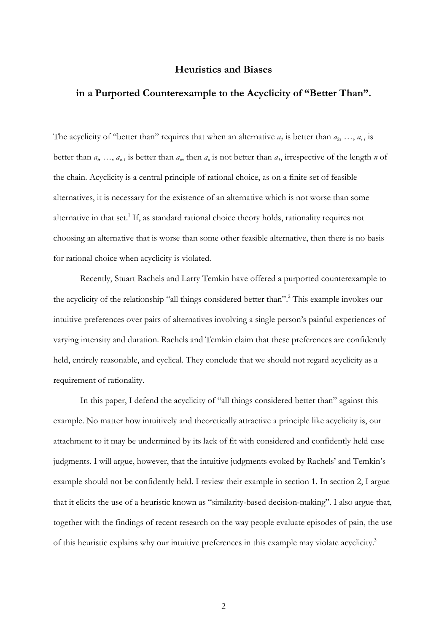## Heuristics and Biases

# in a Purported Counterexample to the Acyclicity of "Better Than".

The acyclicity of "better than" requires that when an alternative  $a_1$  is better than  $a_2, \ldots, a_{i_1}$  is better than  $a_i, ..., a_{n-1}$  is better than  $a_n$ , then  $a_n$  is not better than  $a_1$ , irrespective of the length n of the chain. Acyclicity is a central principle of rational choice, as on a finite set of feasible alternatives, it is necessary for the existence of an alternative which is not worse than some alternative in that set.<sup>1</sup> If, as standard rational choice theory holds, rationality requires not choosing an alternative that is worse than some other feasible alternative, then there is no basis for rational choice when acyclicity is violated.

Recently, Stuart Rachels and Larry Temkin have offered a purported counterexample to the acyclicity of the relationship "all things considered better than".<sup>2</sup> This example invokes our intuitive preferences over pairs of alternatives involving a single person's painful experiences of varying intensity and duration. Rachels and Temkin claim that these preferences are confidently held, entirely reasonable, and cyclical. They conclude that we should not regard acyclicity as a requirement of rationality.

In this paper, I defend the acyclicity of "all things considered better than" against this example. No matter how intuitively and theoretically attractive a principle like acyclicity is, our attachment to it may be undermined by its lack of fit with considered and confidently held case judgments. I will argue, however, that the intuitive judgments evoked by Rachels' and Temkin's example should not be confidently held. I review their example in section 1. In section 2, I argue that it elicits the use of a heuristic known as "similarity-based decision-making". I also argue that, together with the findings of recent research on the way people evaluate episodes of pain, the use of this heuristic explains why our intuitive preferences in this example may violate acyclicity.<sup>3</sup>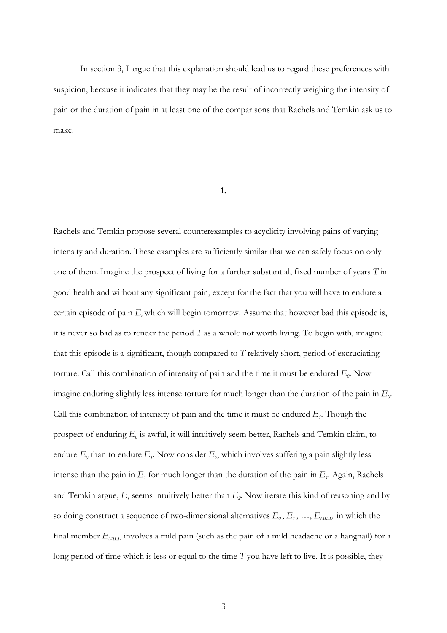In section 3, I argue that this explanation should lead us to regard these preferences with suspicion, because it indicates that they may be the result of incorrectly weighing the intensity of pain or the duration of pain in at least one of the comparisons that Rachels and Temkin ask us to make.

#### 1.

Rachels and Temkin propose several counterexamples to acyclicity involving pains of varying intensity and duration. These examples are sufficiently similar that we can safely focus on only one of them. Imagine the prospect of living for a further substantial, fixed number of years T in good health and without any significant pain, except for the fact that you will have to endure a certain episode of pain  $E_i$  which will begin tomorrow. Assume that however bad this episode is, it is never so bad as to render the period  $T$  as a whole not worth living. To begin with, imagine that this episode is a significant, though compared to  $T$  relatively short, period of excruciating torture. Call this combination of intensity of pain and the time it must be endured  $E_o$ . Now imagine enduring slightly less intense torture for much longer than the duration of the pain in  $E_o$ . Call this combination of intensity of pain and the time it must be endured  $E_i$ . Though the prospect of enduring  $E_o$  is awful, it will intuitively seem better, Rachels and Temkin claim, to endure  $E_0$  than to endure  $E_1$ . Now consider  $E_2$ , which involves suffering a pain slightly less intense than the pain in  $E_t$  for much longer than the duration of the pain in  $E_t$ . Again, Rachels and Temkin argue,  $E_i$  seems intuitively better than  $E_2$ . Now iterate this kind of reasoning and by so doing construct a sequence of two-dimensional alternatives  $E_0, E_1, ..., E_{MLD}$  in which the final member  $E_{\text{MILD}}$  involves a mild pain (such as the pain of a mild headache or a hangnail) for a long period of time which is less or equal to the time  $T$  you have left to live. It is possible, they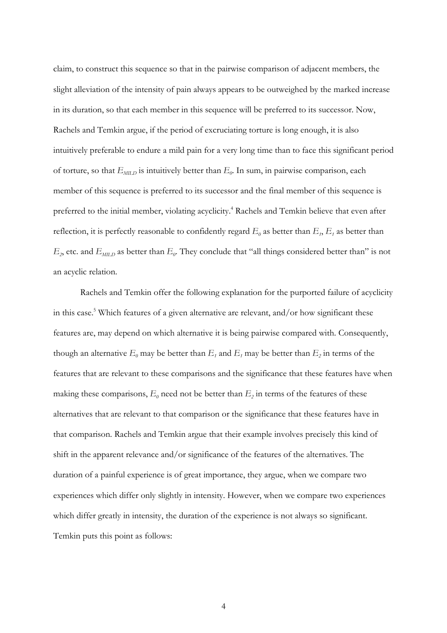claim, to construct this sequence so that in the pairwise comparison of adjacent members, the slight alleviation of the intensity of pain always appears to be outweighed by the marked increase in its duration, so that each member in this sequence will be preferred to its successor. Now, Rachels and Temkin argue, if the period of excruciating torture is long enough, it is also intuitively preferable to endure a mild pain for a very long time than to face this significant period of torture, so that  $E_{\text{MILD}}$  is intuitively better than  $E_o$ . In sum, in pairwise comparison, each member of this sequence is preferred to its successor and the final member of this sequence is preferred to the initial member, violating acyclicity.<sup>4</sup> Rachels and Temkin believe that even after reflection, it is perfectly reasonable to confidently regard  $E_o$  as better than  $E_i$ ,  $E_i$  as better than  $E_2$ , etc. and  $E_{\text{MILD}}$  as better than  $E_o$ . They conclude that "all things considered better than" is not an acyclic relation.

 Rachels and Temkin offer the following explanation for the purported failure of acyclicity in this case.<sup>5</sup> Which features of a given alternative are relevant, and/or how significant these features are, may depend on which alternative it is being pairwise compared with. Consequently, though an alternative  $E_0$  may be better than  $E_1$  and  $E_1$  may be better than  $E_2$  in terms of the features that are relevant to these comparisons and the significance that these features have when making these comparisons,  $E_{\theta}$  need not be better than  $E_{2}$  in terms of the features of these alternatives that are relevant to that comparison or the significance that these features have in that comparison. Rachels and Temkin argue that their example involves precisely this kind of shift in the apparent relevance and/or significance of the features of the alternatives. The duration of a painful experience is of great importance, they argue, when we compare two experiences which differ only slightly in intensity. However, when we compare two experiences which differ greatly in intensity, the duration of the experience is not always so significant. Temkin puts this point as follows: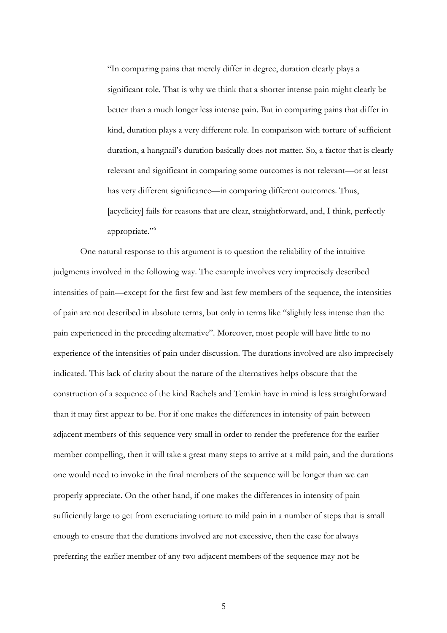"In comparing pains that merely differ in degree, duration clearly plays a significant role. That is why we think that a shorter intense pain might clearly be better than a much longer less intense pain. But in comparing pains that differ in kind, duration plays a very different role. In comparison with torture of sufficient duration, a hangnail's duration basically does not matter. So, a factor that is clearly relevant and significant in comparing some outcomes is not relevant—or at least has very different significance—in comparing different outcomes. Thus, [acyclicity] fails for reasons that are clear, straightforward, and, I think, perfectly appropriate."<sup>6</sup>

One natural response to this argument is to question the reliability of the intuitive judgments involved in the following way. The example involves very imprecisely described intensities of pain—except for the first few and last few members of the sequence, the intensities of pain are not described in absolute terms, but only in terms like "slightly less intense than the pain experienced in the preceding alternative". Moreover, most people will have little to no experience of the intensities of pain under discussion. The durations involved are also imprecisely indicated. This lack of clarity about the nature of the alternatives helps obscure that the construction of a sequence of the kind Rachels and Temkin have in mind is less straightforward than it may first appear to be. For if one makes the differences in intensity of pain between adjacent members of this sequence very small in order to render the preference for the earlier member compelling, then it will take a great many steps to arrive at a mild pain, and the durations one would need to invoke in the final members of the sequence will be longer than we can properly appreciate. On the other hand, if one makes the differences in intensity of pain sufficiently large to get from excruciating torture to mild pain in a number of steps that is small enough to ensure that the durations involved are not excessive, then the case for always preferring the earlier member of any two adjacent members of the sequence may not be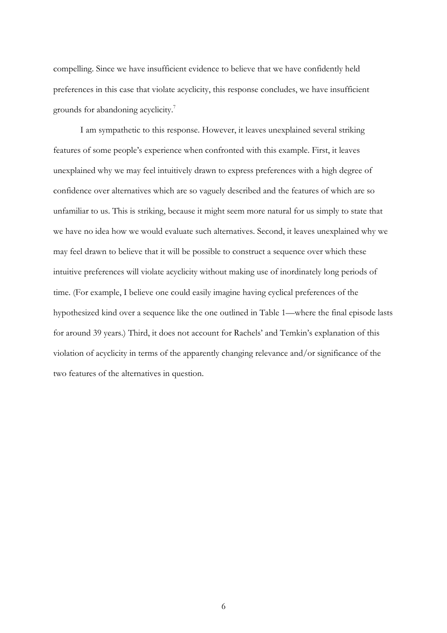compelling. Since we have insufficient evidence to believe that we have confidently held preferences in this case that violate acyclicity, this response concludes, we have insufficient grounds for abandoning acyclicity.<sup>7</sup>

I am sympathetic to this response. However, it leaves unexplained several striking features of some people's experience when confronted with this example. First, it leaves unexplained why we may feel intuitively drawn to express preferences with a high degree of confidence over alternatives which are so vaguely described and the features of which are so unfamiliar to us. This is striking, because it might seem more natural for us simply to state that we have no idea how we would evaluate such alternatives. Second, it leaves unexplained why we may feel drawn to believe that it will be possible to construct a sequence over which these intuitive preferences will violate acyclicity without making use of inordinately long periods of time. (For example, I believe one could easily imagine having cyclical preferences of the hypothesized kind over a sequence like the one outlined in Table 1—where the final episode lasts for around 39 years.) Third, it does not account for Rachels' and Temkin's explanation of this violation of acyclicity in terms of the apparently changing relevance and/or significance of the two features of the alternatives in question.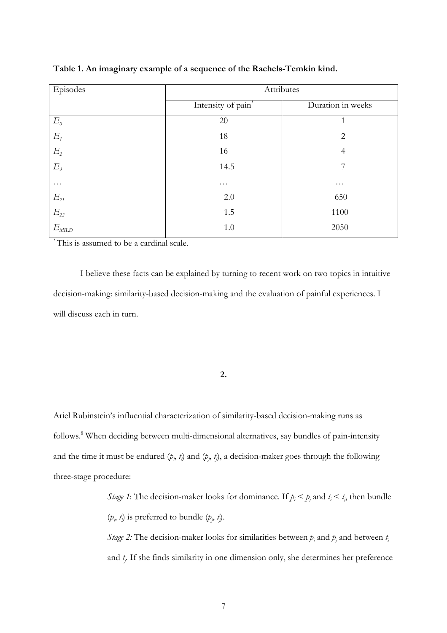| Episodes                                                                          | Attributes         |                   |  |
|-----------------------------------------------------------------------------------|--------------------|-------------------|--|
|                                                                                   | Intensity of pain* | Duration in weeks |  |
| $E_{\theta}$                                                                      | 20                 |                   |  |
| $E_{t}$                                                                           | 18                 | $\overline{2}$    |  |
| $E_2$<br>$E_3$                                                                    | 16                 | $\overline{4}$    |  |
|                                                                                   | 14.5               | $\overline{7}$    |  |
| $\cdots$                                                                          | $\cdots$           | $\cdots$          |  |
|                                                                                   | 2.0                | 650               |  |
| $\begin{aligned} E_{\text{21}} \\ E_{\text{22}} \\ E_{\text{MILD}} \end{aligned}$ | 1.5                | 1100              |  |
|                                                                                   | $1.0\,$            | 2050              |  |

Table 1. An imaginary example of a sequence of the Rachels-Temkin kind.

This is assumed to be a cardinal scale.

I believe these facts can be explained by turning to recent work on two topics in intuitive decision-making: similarity-based decision-making and the evaluation of painful experiences. I will discuss each in turn.

#### 2.

Ariel Rubinstein's influential characterization of similarity-based decision-making runs as follows.<sup>8</sup> When deciding between multi-dimensional alternatives, say bundles of pain-intensity and the time it must be endured  $(p, t)$  and  $(p, t)$ , a decision-maker goes through the following three-stage procedure:

> *Stage 1*: The decision-maker looks for dominance. If  $p_i < p_j$  and  $t_i < t_j$ , then bundle  $(p_i, t_j)$  is preferred to bundle  $(p_j, t_j)$ .

> *Stage 2:* The decision-maker looks for similarities between  $p_i$  and  $p_j$  and between  $t_i$ and  $t_j$ . If she finds similarity in one dimension only, she determines her preference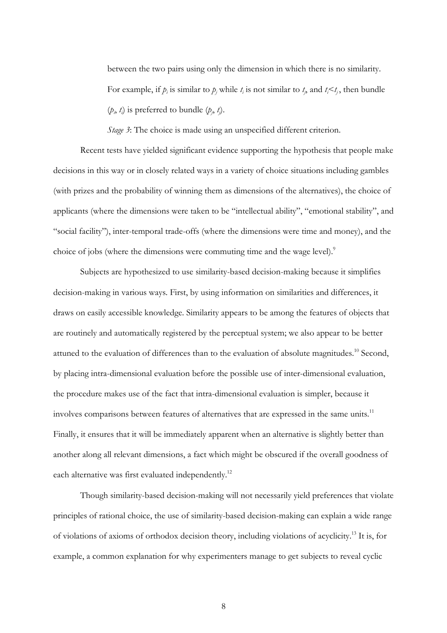between the two pairs using only the dimension in which there is no similarity. For example, if  $p_i$  is similar to  $p_j$  while  $t_i$  is not similar to  $t_j$ , and  $t_i < t_j$ , then bundle  $(p_i, t_i)$  is preferred to bundle  $(p_j, t_j)$ .

Stage 3: The choice is made using an unspecified different criterion.

Recent tests have yielded significant evidence supporting the hypothesis that people make decisions in this way or in closely related ways in a variety of choice situations including gambles (with prizes and the probability of winning them as dimensions of the alternatives), the choice of applicants (where the dimensions were taken to be "intellectual ability", "emotional stability", and "social facility"), inter-temporal trade-offs (where the dimensions were time and money), and the choice of jobs (where the dimensions were commuting time and the wage level).<sup>9</sup>

Subjects are hypothesized to use similarity-based decision-making because it simplifies decision-making in various ways. First, by using information on similarities and differences, it draws on easily accessible knowledge. Similarity appears to be among the features of objects that are routinely and automatically registered by the perceptual system; we also appear to be better attuned to the evaluation of differences than to the evaluation of absolute magnitudes.<sup>10</sup> Second, by placing intra-dimensional evaluation before the possible use of inter-dimensional evaluation, the procedure makes use of the fact that intra-dimensional evaluation is simpler, because it involves comparisons between features of alternatives that are expressed in the same units.<sup>11</sup> Finally, it ensures that it will be immediately apparent when an alternative is slightly better than another along all relevant dimensions, a fact which might be obscured if the overall goodness of each alternative was first evaluated independently.<sup>12</sup>

Though similarity-based decision-making will not necessarily yield preferences that violate principles of rational choice, the use of similarity-based decision-making can explain a wide range of violations of axioms of orthodox decision theory, including violations of acyclicity.<sup>13</sup> It is, for example, a common explanation for why experimenters manage to get subjects to reveal cyclic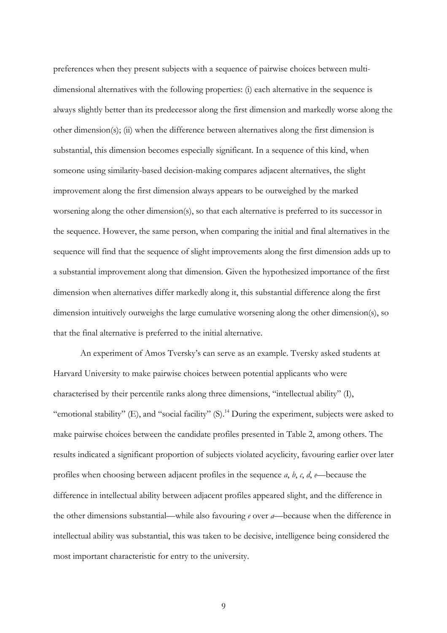preferences when they present subjects with a sequence of pairwise choices between multidimensional alternatives with the following properties: (i) each alternative in the sequence is always slightly better than its predecessor along the first dimension and markedly worse along the other dimension(s); (ii) when the difference between alternatives along the first dimension is substantial, this dimension becomes especially significant. In a sequence of this kind, when someone using similarity-based decision-making compares adjacent alternatives, the slight improvement along the first dimension always appears to be outweighed by the marked worsening along the other dimension(s), so that each alternative is preferred to its successor in the sequence. However, the same person, when comparing the initial and final alternatives in the sequence will find that the sequence of slight improvements along the first dimension adds up to a substantial improvement along that dimension. Given the hypothesized importance of the first dimension when alternatives differ markedly along it, this substantial difference along the first dimension intuitively outweighs the large cumulative worsening along the other dimension(s), so that the final alternative is preferred to the initial alternative.

An experiment of Amos Tversky's can serve as an example. Tversky asked students at Harvard University to make pairwise choices between potential applicants who were characterised by their percentile ranks along three dimensions, "intellectual ability" (I), "emotional stability" (E), and "social facility" (S).<sup>14</sup> During the experiment, subjects were asked to make pairwise choices between the candidate profiles presented in Table 2, among others. The results indicated a significant proportion of subjects violated acyclicity, favouring earlier over later profiles when choosing between adjacent profiles in the sequence a, b, c, d, e—because the difference in intellectual ability between adjacent profiles appeared slight, and the difference in the other dimensions substantial—while also favouring  $e$  over  $a$ —because when the difference in intellectual ability was substantial, this was taken to be decisive, intelligence being considered the most important characteristic for entry to the university.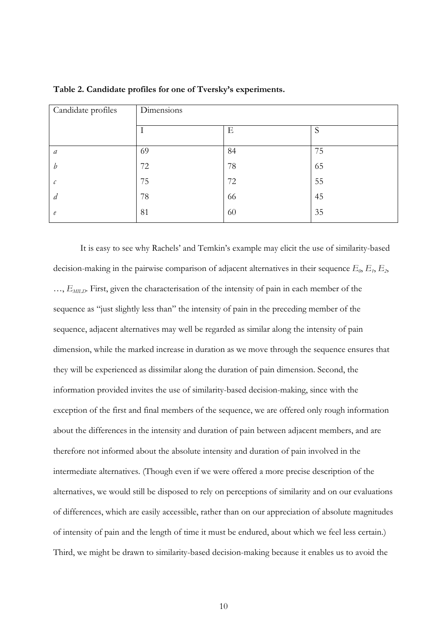| Candidate profiles | Dimensions |    |    |
|--------------------|------------|----|----|
|                    |            | Ε  | S  |
| $\mathfrak{a}$     | 69         | 84 | 75 |
| $\mathfrak b$      | 72         | 78 | 65 |
| $\mathcal{C}_{0}$  | 75         | 72 | 55 |
| d                  | 78         | 66 | 45 |
| $\ell$             | 81         | 60 | 35 |

Table 2. Candidate profiles for one of Tversky's experiments.

It is easy to see why Rachels' and Temkin's example may elicit the use of similarity-based decision-making in the pairwise comparison of adjacent alternatives in their sequence  $E_0$ ,  $E_1$ ,  $E_2$ ,  $..., E<sub>MLD</sub>$ . First, given the characterisation of the intensity of pain in each member of the sequence as "just slightly less than" the intensity of pain in the preceding member of the sequence, adjacent alternatives may well be regarded as similar along the intensity of pain dimension, while the marked increase in duration as we move through the sequence ensures that they will be experienced as dissimilar along the duration of pain dimension. Second, the information provided invites the use of similarity-based decision-making, since with the exception of the first and final members of the sequence, we are offered only rough information about the differences in the intensity and duration of pain between adjacent members, and are therefore not informed about the absolute intensity and duration of pain involved in the intermediate alternatives. (Though even if we were offered a more precise description of the alternatives, we would still be disposed to rely on perceptions of similarity and on our evaluations of differences, which are easily accessible, rather than on our appreciation of absolute magnitudes of intensity of pain and the length of time it must be endured, about which we feel less certain.) Third, we might be drawn to similarity-based decision-making because it enables us to avoid the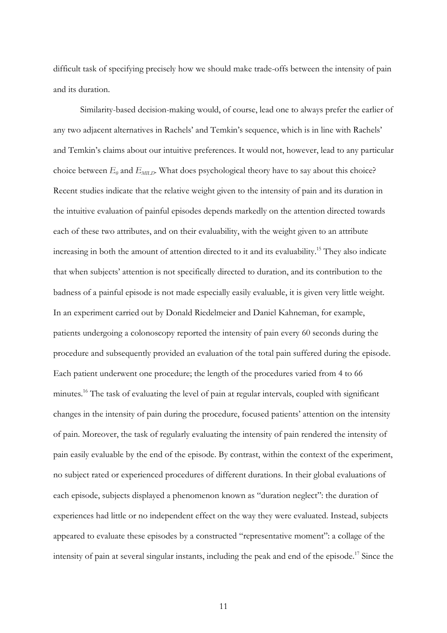difficult task of specifying precisely how we should make trade-offs between the intensity of pain and its duration.

Similarity-based decision-making would, of course, lead one to always prefer the earlier of any two adjacent alternatives in Rachels' and Temkin's sequence, which is in line with Rachels' and Temkin's claims about our intuitive preferences. It would not, however, lead to any particular choice between  $E_0$  and  $E_{MLD}$ . What does psychological theory have to say about this choice? Recent studies indicate that the relative weight given to the intensity of pain and its duration in the intuitive evaluation of painful episodes depends markedly on the attention directed towards each of these two attributes, and on their evaluability, with the weight given to an attribute increasing in both the amount of attention directed to it and its evaluability.<sup>15</sup> They also indicate that when subjects' attention is not specifically directed to duration, and its contribution to the badness of a painful episode is not made especially easily evaluable, it is given very little weight. In an experiment carried out by Donald Riedelmeier and Daniel Kahneman, for example, patients undergoing a colonoscopy reported the intensity of pain every 60 seconds during the procedure and subsequently provided an evaluation of the total pain suffered during the episode. Each patient underwent one procedure; the length of the procedures varied from 4 to 66 minutes.<sup>16</sup> The task of evaluating the level of pain at regular intervals, coupled with significant changes in the intensity of pain during the procedure, focused patients' attention on the intensity of pain. Moreover, the task of regularly evaluating the intensity of pain rendered the intensity of pain easily evaluable by the end of the episode. By contrast, within the context of the experiment, no subject rated or experienced procedures of different durations. In their global evaluations of each episode, subjects displayed a phenomenon known as "duration neglect": the duration of experiences had little or no independent effect on the way they were evaluated. Instead, subjects appeared to evaluate these episodes by a constructed "representative moment": a collage of the intensity of pain at several singular instants, including the peak and end of the episode.<sup>17</sup> Since the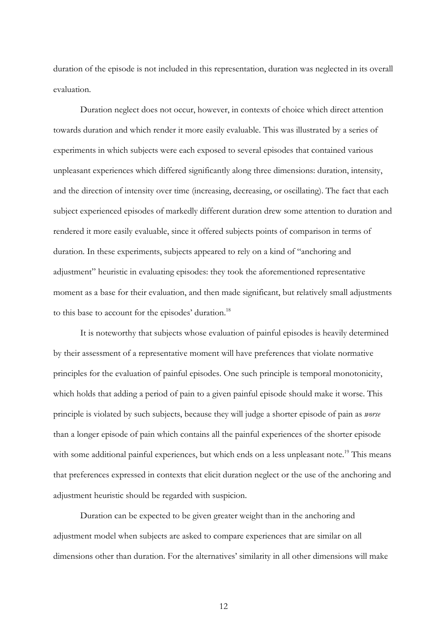duration of the episode is not included in this representation, duration was neglected in its overall evaluation.

Duration neglect does not occur, however, in contexts of choice which direct attention towards duration and which render it more easily evaluable. This was illustrated by a series of experiments in which subjects were each exposed to several episodes that contained various unpleasant experiences which differed significantly along three dimensions: duration, intensity, and the direction of intensity over time (increasing, decreasing, or oscillating). The fact that each subject experienced episodes of markedly different duration drew some attention to duration and rendered it more easily evaluable, since it offered subjects points of comparison in terms of duration. In these experiments, subjects appeared to rely on a kind of "anchoring and adjustment" heuristic in evaluating episodes: they took the aforementioned representative moment as a base for their evaluation, and then made significant, but relatively small adjustments to this base to account for the episodes' duration.<sup>18</sup>

It is noteworthy that subjects whose evaluation of painful episodes is heavily determined by their assessment of a representative moment will have preferences that violate normative principles for the evaluation of painful episodes. One such principle is temporal monotonicity, which holds that adding a period of pain to a given painful episode should make it worse. This principle is violated by such subjects, because they will judge a shorter episode of pain as worse than a longer episode of pain which contains all the painful experiences of the shorter episode with some additional painful experiences, but which ends on a less unpleasant note.<sup>19</sup> This means that preferences expressed in contexts that elicit duration neglect or the use of the anchoring and adjustment heuristic should be regarded with suspicion.

Duration can be expected to be given greater weight than in the anchoring and adjustment model when subjects are asked to compare experiences that are similar on all dimensions other than duration. For the alternatives' similarity in all other dimensions will make

12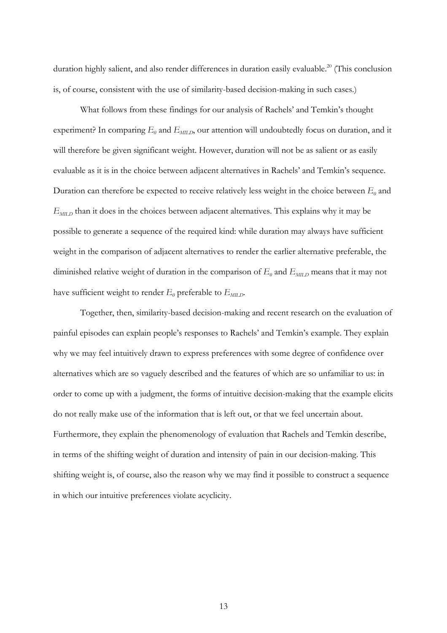duration highly salient, and also render differences in duration easily evaluable.<sup>20</sup> (This conclusion is, of course, consistent with the use of similarity-based decision-making in such cases.)

What follows from these findings for our analysis of Rachels' and Temkin's thought experiment? In comparing  $E_0$  and  $E_{\text{MILD}}$ , our attention will undoubtedly focus on duration, and it will therefore be given significant weight. However, duration will not be as salient or as easily evaluable as it is in the choice between adjacent alternatives in Rachels' and Temkin's sequence. Duration can therefore be expected to receive relatively less weight in the choice between  $E_0$  and  $E<sub>MILD</sub>$  than it does in the choices between adjacent alternatives. This explains why it may be possible to generate a sequence of the required kind: while duration may always have sufficient weight in the comparison of adjacent alternatives to render the earlier alternative preferable, the diminished relative weight of duration in the comparison of  $E_{0}$  and  $E_{MLD}$  means that it may not have sufficient weight to render  $E_{\theta}$  preferable to  $E_{\text{MILD}}$ .

 Together, then, similarity-based decision-making and recent research on the evaluation of painful episodes can explain people's responses to Rachels' and Temkin's example. They explain why we may feel intuitively drawn to express preferences with some degree of confidence over alternatives which are so vaguely described and the features of which are so unfamiliar to us: in order to come up with a judgment, the forms of intuitive decision-making that the example elicits do not really make use of the information that is left out, or that we feel uncertain about. Furthermore, they explain the phenomenology of evaluation that Rachels and Temkin describe, in terms of the shifting weight of duration and intensity of pain in our decision-making. This shifting weight is, of course, also the reason why we may find it possible to construct a sequence in which our intuitive preferences violate acyclicity.

13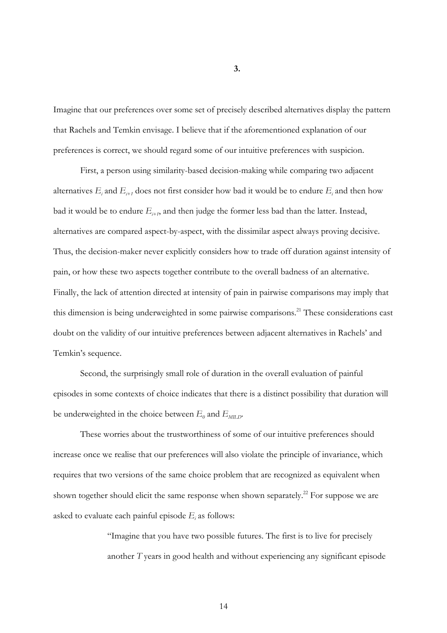Imagine that our preferences over some set of precisely described alternatives display the pattern that Rachels and Temkin envisage. I believe that if the aforementioned explanation of our preferences is correct, we should regard some of our intuitive preferences with suspicion.

 First, a person using similarity-based decision-making while comparing two adjacent alternatives  $E_i$  and  $E_{i+1}$  does not first consider how bad it would be to endure  $E_i$  and then how bad it would be to endure  $E_{i+1}$ , and then judge the former less bad than the latter. Instead, alternatives are compared aspect-by-aspect, with the dissimilar aspect always proving decisive. Thus, the decision-maker never explicitly considers how to trade off duration against intensity of pain, or how these two aspects together contribute to the overall badness of an alternative. Finally, the lack of attention directed at intensity of pain in pairwise comparisons may imply that this dimension is being underweighted in some pairwise comparisons.<sup>21</sup> These considerations cast doubt on the validity of our intuitive preferences between adjacent alternatives in Rachels' and Temkin's sequence.

Second, the surprisingly small role of duration in the overall evaluation of painful episodes in some contexts of choice indicates that there is a distinct possibility that duration will be underweighted in the choice between  $E_0$  and  $E_{MLD}$ .

 These worries about the trustworthiness of some of our intuitive preferences should increase once we realise that our preferences will also violate the principle of invariance, which requires that two versions of the same choice problem that are recognized as equivalent when shown together should elicit the same response when shown separately.<sup>22</sup> For suppose we are asked to evaluate each painful episode  $E_i$  as follows:

> "Imagine that you have two possible futures. The first is to live for precisely another T years in good health and without experiencing any significant episode

3.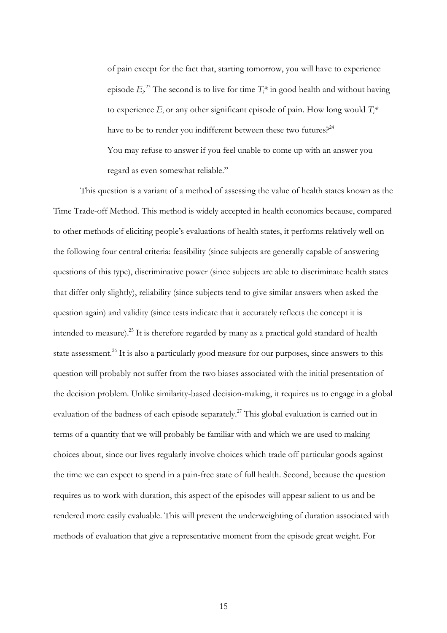of pain except for the fact that, starting tomorrow, you will have to experience episode  $E_i^2$  The second is to live for time  $T_i^*$  in good health and without having to experience  $E_i$  or any other significant episode of pain. How long would  $T_i^*$ have to be to render you indifferent between these two futures?<sup>24</sup> You may refuse to answer if you feel unable to come up with an answer you regard as even somewhat reliable."

This question is a variant of a method of assessing the value of health states known as the Time Trade-off Method. This method is widely accepted in health economics because, compared to other methods of eliciting people's evaluations of health states, it performs relatively well on the following four central criteria: feasibility (since subjects are generally capable of answering questions of this type), discriminative power (since subjects are able to discriminate health states that differ only slightly), reliability (since subjects tend to give similar answers when asked the question again) and validity (since tests indicate that it accurately reflects the concept it is intended to measure).<sup>25</sup> It is therefore regarded by many as a practical gold standard of health state assessment.<sup>26</sup> It is also a particularly good measure for our purposes, since answers to this question will probably not suffer from the two biases associated with the initial presentation of the decision problem. Unlike similarity-based decision-making, it requires us to engage in a global evaluation of the badness of each episode separately.<sup>27</sup> This global evaluation is carried out in terms of a quantity that we will probably be familiar with and which we are used to making choices about, since our lives regularly involve choices which trade off particular goods against the time we can expect to spend in a pain-free state of full health. Second, because the question requires us to work with duration, this aspect of the episodes will appear salient to us and be rendered more easily evaluable. This will prevent the underweighting of duration associated with methods of evaluation that give a representative moment from the episode great weight. For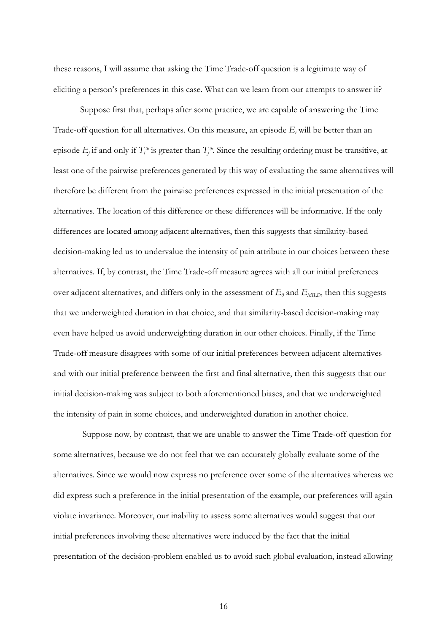these reasons, I will assume that asking the Time Trade-off question is a legitimate way of eliciting a person's preferences in this case. What can we learn from our attempts to answer it?

Suppose first that, perhaps after some practice, we are capable of answering the Time Trade-off question for all alternatives. On this measure, an episode  $E_i$  will be better than an episode  $E_j$  if and only if  $T_i^*$  is greater than  $T_j^*$ . Since the resulting ordering must be transitive, at least one of the pairwise preferences generated by this way of evaluating the same alternatives will therefore be different from the pairwise preferences expressed in the initial presentation of the alternatives. The location of this difference or these differences will be informative. If the only differences are located among adjacent alternatives, then this suggests that similarity-based decision-making led us to undervalue the intensity of pain attribute in our choices between these alternatives. If, by contrast, the Time Trade-off measure agrees with all our initial preferences over adjacent alternatives, and differs only in the assessment of  $E_0$  and  $E_{\text{MILD}}$ , then this suggests that we underweighted duration in that choice, and that similarity-based decision-making may even have helped us avoid underweighting duration in our other choices. Finally, if the Time Trade-off measure disagrees with some of our initial preferences between adjacent alternatives and with our initial preference between the first and final alternative, then this suggests that our initial decision-making was subject to both aforementioned biases, and that we underweighted the intensity of pain in some choices, and underweighted duration in another choice.

 Suppose now, by contrast, that we are unable to answer the Time Trade-off question for some alternatives, because we do not feel that we can accurately globally evaluate some of the alternatives. Since we would now express no preference over some of the alternatives whereas we did express such a preference in the initial presentation of the example, our preferences will again violate invariance. Moreover, our inability to assess some alternatives would suggest that our initial preferences involving these alternatives were induced by the fact that the initial presentation of the decision-problem enabled us to avoid such global evaluation, instead allowing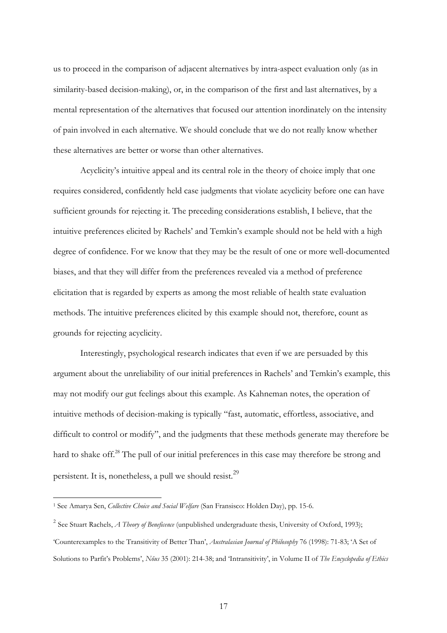us to proceed in the comparison of adjacent alternatives by intra-aspect evaluation only (as in similarity-based decision-making), or, in the comparison of the first and last alternatives, by a mental representation of the alternatives that focused our attention inordinately on the intensity of pain involved in each alternative. We should conclude that we do not really know whether these alternatives are better or worse than other alternatives.

Acyclicity's intuitive appeal and its central role in the theory of choice imply that one requires considered, confidently held case judgments that violate acyclicity before one can have sufficient grounds for rejecting it. The preceding considerations establish, I believe, that the intuitive preferences elicited by Rachels' and Temkin's example should not be held with a high degree of confidence. For we know that they may be the result of one or more well-documented biases, and that they will differ from the preferences revealed via a method of preference elicitation that is regarded by experts as among the most reliable of health state evaluation methods. The intuitive preferences elicited by this example should not, therefore, count as grounds for rejecting acyclicity.

Interestingly, psychological research indicates that even if we are persuaded by this argument about the unreliability of our initial preferences in Rachels' and Temkin's example, this may not modify our gut feelings about this example. As Kahneman notes, the operation of intuitive methods of decision-making is typically "fast, automatic, effortless, associative, and difficult to control or modify", and the judgments that these methods generate may therefore be hard to shake off.<sup>28</sup> The pull of our initial preferences in this case may therefore be strong and persistent. It is, nonetheless, a pull we should resist.<sup>29</sup>

<sup>&</sup>lt;sup>1</sup> See Amarya Sen, *Collective Choice and Social Welfare* (San Fransisco: Holden Day), pp. 15-6.

<sup>&</sup>lt;sup>2</sup> See Stuart Rachels, *A Theory of Beneficence* (unpublished undergraduate thesis, University of Oxford, 1993); 'Counterexamples to the Transitivity of Better Than', Australasian Journal of Philosophy 76 (1998): 71-83; 'A Set of Solutions to Parfit's Problems', Nôus 35 (2001): 214-38; and 'Intransitivity', in Volume II of The Encyclopedia of Ethics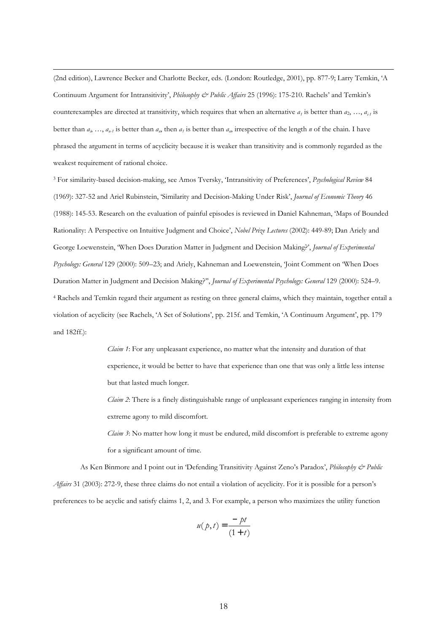$\overline{a}$ (2nd edition), Lawrence Becker and Charlotte Becker, eds. (London: Routledge, 2001), pp. 877-9; Larry Temkin, 'A Continuum Argument for Intransitivity', *Philosophy & Public Affairs* 25 (1996): 175-210. Rachels' and Temkin's counterexamples are directed at transitivity, which requires that when an alternative  $a_1$  is better than  $a_2, ..., a_{i}$  is better than  $a_i$ , ...,  $a_{n-1}$  is better than  $a_n$ , then  $a_1$  is better than  $a_n$ , irrespective of the length n of the chain. I have phrased the argument in terms of acyclicity because it is weaker than transitivity and is commonly regarded as the weakest requirement of rational choice.

<sup>3</sup> For similarity-based decision-making, see Amos Tversky, 'Intransitivity of Preferences', Psychological Review 84 (1969): 327-52 and Ariel Rubinstein, 'Similarity and Decision-Making Under Risk', Journal of Economic Theory 46 (1988): 145-53. Research on the evaluation of painful episodes is reviewed in Daniel Kahneman, 'Maps of Bounded Rationality: A Perspective on Intuitive Judgment and Choice', Nobel Prize Lectures (2002): 449-89; Dan Ariely and George Loewenstein, 'When Does Duration Matter in Judgment and Decision Making?', Journal of Experimental Psychology: General 129 (2000): 509–23; and Ariely, Kahneman and Loewenstein, 'Joint Comment on 'When Does Duration Matter in Judgment and Decision Making?", Journal of Experimental Psychology: General 129 (2000): 524–9. 4 Rachels and Temkin regard their argument as resting on three general claims, which they maintain, together entail a violation of acyclicity (see Rachels, 'A Set of Solutions', pp. 215f. and Temkin, 'A Continuum Argument', pp. 179 and 182ff.):

> Claim 1: For any unpleasant experience, no matter what the intensity and duration of that experience, it would be better to have that experience than one that was only a little less intense but that lasted much longer.

Claim 2: There is a finely distinguishable range of unpleasant experiences ranging in intensity from extreme agony to mild discomfort.

*Claim 3*: No matter how long it must be endured, mild discomfort is preferable to extreme agony for a significant amount of time.

As Ken Binmore and I point out in 'Defending Transitivity Against Zeno's Paradox', *Philosophy & Public* Affairs 31 (2003): 272-9, these three claims do not entail a violation of acyclicity. For it is possible for a person's preferences to be acyclic and satisfy claims 1, 2, and 3. For example, a person who maximizes the utility function

$$
u(p,t) = \frac{-pt}{(1+t)}
$$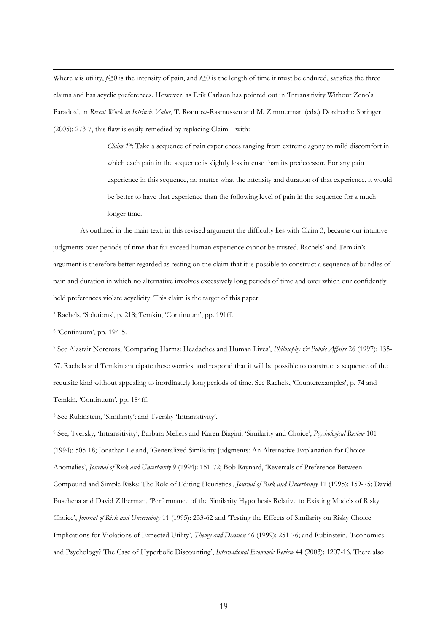Where u is utility,  $p \ge 0$  is the intensity of pain, and  $t \ge 0$  is the length of time it must be endured, satisfies the three claims and has acyclic preferences. However, as Erik Carlson has pointed out in 'Intransitivity Without Zeno's Paradox', in Recent Work in Intrinsic Value, T. Rønnow-Rasmussen and M. Zimmerman (eds.) Dordrecht: Springer (2005): 273-7, this flaw is easily remedied by replacing Claim 1 with:

> *Claim*  $1^*$ : Take a sequence of pain experiences ranging from extreme agony to mild discomfort in which each pain in the sequence is slightly less intense than its predecessor. For any pain experience in this sequence, no matter what the intensity and duration of that experience, it would be better to have that experience than the following level of pain in the sequence for a much longer time.

As outlined in the main text, in this revised argument the difficulty lies with Claim 3, because our intuitive judgments over periods of time that far exceed human experience cannot be trusted. Rachels' and Temkin's argument is therefore better regarded as resting on the claim that it is possible to construct a sequence of bundles of pain and duration in which no alternative involves excessively long periods of time and over which our confidently held preferences violate acyclicity. This claim is the target of this paper.

5 Rachels, 'Solutions', p. 218; Temkin, 'Continuum', pp. 191ff.

6 'Continuum', pp. 194-5.

 $\overline{a}$ 

<sup>7</sup> See Alastair Norcross, 'Comparing Harms: Headaches and Human Lives', *Philosophy & Public Affairs* 26 (1997): 135-67. Rachels and Temkin anticipate these worries, and respond that it will be possible to construct a sequence of the requisite kind without appealing to inordinately long periods of time. See Rachels, 'Counterexamples', p. 74 and Temkin, 'Continuum', pp. 184ff.

8 See Rubinstein, 'Similarity'; and Tversky 'Intransitivity'.

<sup>9</sup> See, Tversky, 'Intransitivity'; Barbara Mellers and Karen Biagini, 'Similarity and Choice', Psychological Review 101 (1994): 505-18; Jonathan Leland, 'Generalized Similarity Judgments: An Alternative Explanation for Choice Anomalies', Journal of Risk and Uncertainty 9 (1994): 151-72; Bob Raynard, 'Reversals of Preference Between Compound and Simple Risks: The Role of Editing Heuristics', Journal of Risk and Uncertainty 11 (1995): 159-75; David Buschena and David Zilberman, 'Performance of the Similarity Hypothesis Relative to Existing Models of Risky Choice', Journal of Risk and Uncertainty 11 (1995): 233-62 and 'Testing the Effects of Similarity on Risky Choice: Implications for Violations of Expected Utility', Theory and Decision 46 (1999): 251-76; and Rubinstein, 'Economics and Psychology? The Case of Hyperbolic Discounting', International Economic Review 44 (2003): 1207-16. There also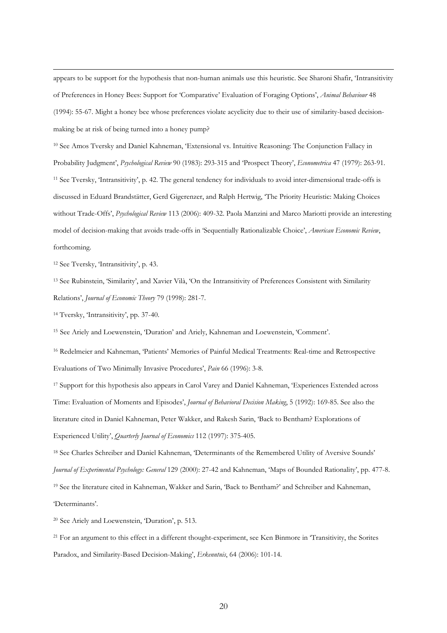appears to be support for the hypothesis that non-human animals use this heuristic. See Sharoni Shafir, 'Intransitivity of Preferences in Honey Bees: Support for 'Comparative' Evaluation of Foraging Options', Animal Behaviour 48 (1994): 55-67. Might a honey bee whose preferences violate acyclicity due to their use of similarity-based decisionmaking be at risk of being turned into a honey pump?

<sup>10</sup> See Amos Tversky and Daniel Kahneman, 'Extensional vs. Intuitive Reasoning: The Conjunction Fallacy in Probability Judgment', Psychological Review 90 (1983): 293-315 and 'Prospect Theory', Econometrica 47 (1979): 263-91. <sup>11</sup> See Tversky, 'Intransitivity', p. 42. The general tendency for individuals to avoid inter-dimensional trade-offs is discussed in Eduard Brandstätter, Gerd Gigerenzer, and Ralph Hertwig, 'The Priority Heuristic: Making Choices without Trade-Offs', Psychological Review 113 (2006): 409-32. Paola Manzini and Marco Mariotti provide an interesting model of decision-making that avoids trade-offs in 'Sequentially Rationalizable Choice', American Economic Review, forthcoming.

<sup>12</sup> See Tversky, 'Intransitivity', p. 43.

 $\overline{a}$ 

<sup>13</sup> See Rubinstein, 'Similarity', and Xavier Vilà, 'On the Intransitivity of Preferences Consistent with Similarity Relations', Journal of Economic Theory 79 (1998): 281-7.

<sup>14</sup> Tversky, 'Intransitivity', pp. 37-40.

<sup>15</sup> See Ariely and Loewenstein, 'Duration' and Ariely, Kahneman and Loewenstein, 'Comment'.

<sup>16</sup> Redelmeier and Kahneman, 'Patients' Memories of Painful Medical Treatments: Real-time and Retrospective Evaluations of Two Minimally Invasive Procedures', Pain 66 (1996): 3-8.

<sup>17</sup> Support for this hypothesis also appears in Carol Varey and Daniel Kahneman, 'Experiences Extended across Time: Evaluation of Moments and Episodes', *Journal of Behavioral Decision Making*, 5 (1992): 169-85. See also the literature cited in Daniel Kahneman, Peter Wakker, and Rakesh Sarin, 'Back to Bentham? Explorations of Experienced Utility', Quarterly Journal of Economics 112 (1997): 375-405.

<sup>18</sup> See Charles Schreiber and Daniel Kahneman, 'Determinants of the Remembered Utility of Aversive Sounds' Journal of Experimental Psychology: General 129 (2000): 27-42 and Kahneman, 'Maps of Bounded Rationality', pp. 477-8. <sup>19</sup> See the literature cited in Kahneman, Wakker and Sarin, 'Back to Bentham?' and Schreiber and Kahneman, 'Determinants'.

<sup>20</sup> See Ariely and Loewenstein, 'Duration', p. 513.

<sup>21</sup> For an argument to this effect in a different thought-experiment, see Ken Binmore in 'Transitivity, the Sorites Paradox, and Similarity-Based Decision-Making', Erkenntnis, 64 (2006): 101-14.